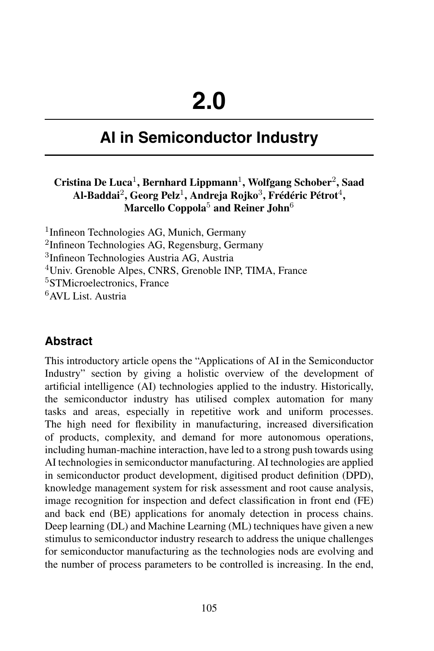# **AI in Semiconductor Industry**

#### **Cristina De Luca**<sup>1</sup> **, Bernhard Lippmann**<sup>1</sup> **, Wolfgang Schober**<sup>2</sup> **, Saad Al-Baddai**<sup>2</sup> **, Georg Pelz**<sup>1</sup> **, Andreja Rojko**<sup>3</sup> **, Frédéric Pétrot**<sup>4</sup> **, Marcello Coppola**<sup>5</sup> **and Reiner John**<sup>6</sup>

 Infineon Technologies AG, Munich, Germany <sup>2</sup>Infineon Technologies AG, Regensburg, Germany Infineon Technologies Austria AG, Austria Univ. Grenoble Alpes, CNRS, Grenoble INP, TIMA, France STMicroelectronics, France AVL List. Austria

#### **Abstract**

This introductory article opens the "Applications of AI in the Semiconductor Industry" section by giving a holistic overview of the development of artificial intelligence (AI) technologies applied to the industry. Historically, the semiconductor industry has utilised complex automation for many tasks and areas, especially in repetitive work and uniform processes. The high need for flexibility in manufacturing, increased diversification of products, complexity, and demand for more autonomous operations, including human-machine interaction, have led to a strong push towards using AI technologies in semiconductor manufacturing. AI technologies are applied in semiconductor product development, digitised product definition (DPD), knowledge management system for risk assessment and root cause analysis, image recognition for inspection and defect classification in front end (FE) and back end (BE) applications for anomaly detection in process chains. Deep learning (DL) and Machine Learning (ML) techniques have given a new stimulus to semiconductor industry research to address the unique challenges for semiconductor manufacturing as the technologies nods are evolving and the number of process parameters to be controlled is increasing. In the end,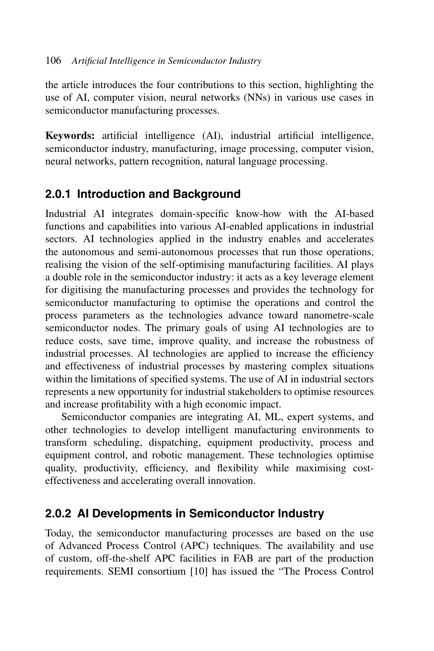the article introduces the four contributions to this section, highlighting the use of AI, computer vision, neural networks (NNs) in various use cases in semiconductor manufacturing processes.

**Keywords:** artificial intelligence (AI), industrial artificial intelligence, semiconductor industry, manufacturing, image processing, computer vision, neural networks, pattern recognition, natural language processing.

# **2.0.1 Introduction and Background**

Industrial AI integrates domain-specific know-how with the AI-based functions and capabilities into various AI-enabled applications in industrial sectors. AI technologies applied in the industry enables and accelerates the autonomous and semi-autonomous processes that run those operations, realising the vision of the self-optimising manufacturing facilities. AI plays a double role in the semiconductor industry: it acts as a key leverage element for digitising the manufacturing processes and provides the technology for semiconductor manufacturing to optimise the operations and control the process parameters as the technologies advance toward nanometre-scale semiconductor nodes. The primary goals of using AI technologies are to reduce costs, save time, improve quality, and increase the robustness of industrial processes. AI technologies are applied to increase the efficiency and effectiveness of industrial processes by mastering complex situations within the limitations of specified systems. The use of AI in industrial sectors represents a new opportunity for industrial stakeholders to optimise resources and increase profitability with a high economic impact.

Semiconductor companies are integrating AI, ML, expert systems, and other technologies to develop intelligent manufacturing environments to transform scheduling, dispatching, equipment productivity, process and equipment control, and robotic management. These technologies optimise quality, productivity, efficiency, and flexibility while maximising costeffectiveness and accelerating overall innovation.

# **2.0.2 AI Developments in Semiconductor Industry**

Today, the semiconductor manufacturing processes are based on the use of Advanced Process Control (APC) techniques. The availability and use of custom, off-the-shelf APC facilities in FAB are part of the production requirements. SEMI consortium [10] has issued the "The Process Control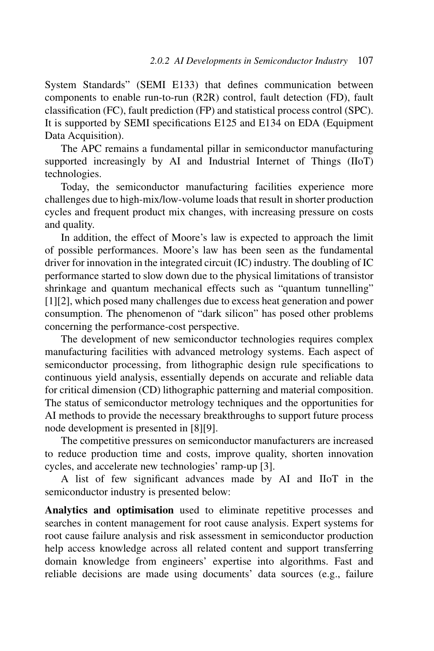System Standards" (SEMI E133) that defines communication between components to enable run-to-run (R2R) control, fault detection (FD), fault classification (FC), fault prediction (FP) and statistical process control (SPC). It is supported by SEMI specifications E125 and E134 on EDA (Equipment Data Acquisition).

The APC remains a fundamental pillar in semiconductor manufacturing supported increasingly by AI and Industrial Internet of Things (IIoT) technologies.

Today, the semiconductor manufacturing facilities experience more challenges due to high-mix/low-volume loads that result in shorter production cycles and frequent product mix changes, with increasing pressure on costs and quality.

In addition, the effect of Moore's law is expected to approach the limit of possible performances. Moore's law has been seen as the fundamental driver for innovation in the integrated circuit (IC) industry. The doubling of IC performance started to slow down due to the physical limitations of transistor shrinkage and quantum mechanical effects such as "quantum tunnelling" [1][2], which posed many challenges due to excess heat generation and power consumption. The phenomenon of "dark silicon" has posed other problems concerning the performance-cost perspective.

The development of new semiconductor technologies requires complex manufacturing facilities with advanced metrology systems. Each aspect of semiconductor processing, from lithographic design rule specifications to continuous yield analysis, essentially depends on accurate and reliable data for critical dimension (CD) lithographic patterning and material composition. The status of semiconductor metrology techniques and the opportunities for AI methods to provide the necessary breakthroughs to support future process node development is presented in [8][9].

The competitive pressures on semiconductor manufacturers are increased to reduce production time and costs, improve quality, shorten innovation cycles, and accelerate new technologies' ramp-up [3].

A list of few significant advances made by AI and IIoT in the semiconductor industry is presented below:

**Analytics and optimisation** used to eliminate repetitive processes and searches in content management for root cause analysis. Expert systems for root cause failure analysis and risk assessment in semiconductor production help access knowledge across all related content and support transferring domain knowledge from engineers' expertise into algorithms. Fast and reliable decisions are made using documents' data sources (e.g., failure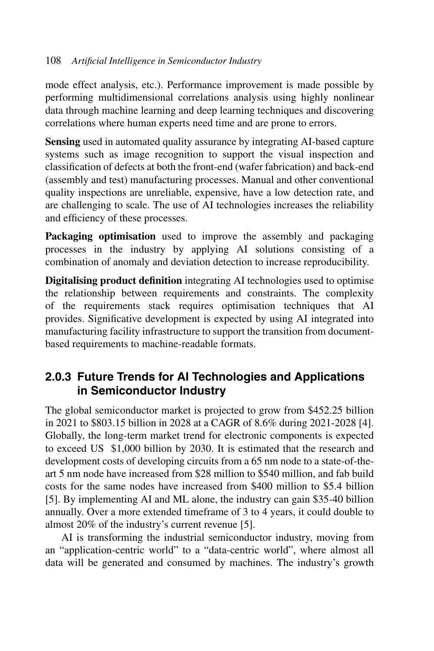mode effect analysis, etc.). Performance improvement is made possible by performing multidimensional correlations analysis using highly nonlinear data through machine learning and deep learning techniques and discovering correlations where human experts need time and are prone to errors.

**Sensing** used in automated quality assurance by integrating AI-based capture systems such as image recognition to support the visual inspection and classification of defects at both the front-end (wafer fabrication) and back-end (assembly and test) manufacturing processes. Manual and other conventional quality inspections are unreliable, expensive, have a low detection rate, and are challenging to scale. The use of AI technologies increases the reliability and efficiency of these processes.

**Packaging optimisation** used to improve the assembly and packaging processes in the industry by applying AI solutions consisting of a combination of anomaly and deviation detection to increase reproducibility.

**Digitalising product definition** integrating AI technologies used to optimise the relationship between requirements and constraints. The complexity of the requirements stack requires optimisation techniques that AI provides. Significative development is expected by using AI integrated into manufacturing facility infrastructure to support the transition from documentbased requirements to machine-readable formats.

## **2.0.3 Future Trends for AI Technologies and Applications in Semiconductor Industry**

The global semiconductor market is projected to grow from \$452.25 billion in 2021 to \$803.15 billion in 2028 at a CAGR of 8.6% during 2021-2028 [4]. Globally, the long-term market trend for electronic components is expected to exceed US \$1,000 billion by 2030. It is estimated that the research and development costs of developing circuits from a 65 nm node to a state-of-theart 5 nm node have increased from \$28 million to \$540 million, and fab build costs for the same nodes have increased from \$400 million to \$5.4 billion [5]. By implementing AI and ML alone, the industry can gain \$35-40 billion annually. Over a more extended timeframe of 3 to 4 years, it could double to almost 20% of the industry's current revenue [5].

AI is transforming the industrial semiconductor industry, moving from an "application-centric world" to a "data-centric world", where almost all data will be generated and consumed by machines. The industry's growth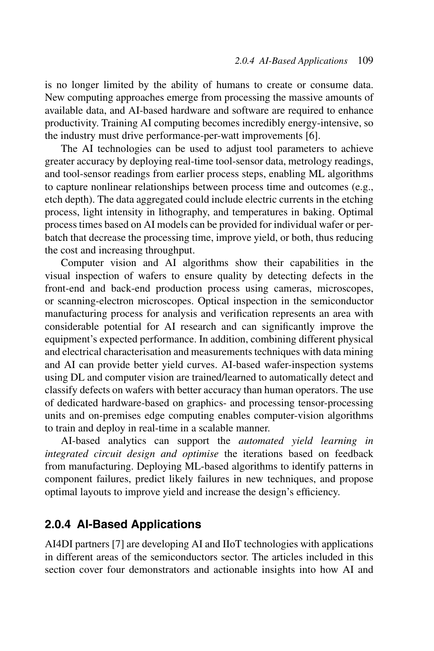is no longer limited by the ability of humans to create or consume data. New computing approaches emerge from processing the massive amounts of available data, and AI-based hardware and software are required to enhance productivity. Training AI computing becomes incredibly energy-intensive, so the industry must drive performance-per-watt improvements [6].

The AI technologies can be used to adjust tool parameters to achieve greater accuracy by deploying real-time tool-sensor data, metrology readings, and tool-sensor readings from earlier process steps, enabling ML algorithms to capture nonlinear relationships between process time and outcomes (e.g., etch depth). The data aggregated could include electric currents in the etching process, light intensity in lithography, and temperatures in baking. Optimal process times based on AI models can be provided for individual wafer or perbatch that decrease the processing time, improve yield, or both, thus reducing the cost and increasing throughput.

Computer vision and AI algorithms show their capabilities in the visual inspection of wafers to ensure quality by detecting defects in the front-end and back-end production process using cameras, microscopes, or scanning-electron microscopes. Optical inspection in the semiconductor manufacturing process for analysis and verification represents an area with considerable potential for AI research and can significantly improve the equipment's expected performance. In addition, combining different physical and electrical characterisation and measurements techniques with data mining and AI can provide better yield curves. AI-based wafer-inspection systems using DL and computer vision are trained/learned to automatically detect and classify defects on wafers with better accuracy than human operators. The use of dedicated hardware-based on graphics- and processing tensor-processing units and on-premises edge computing enables computer-vision algorithms to train and deploy in real-time in a scalable manner.

AI-based analytics can support the *automated yield learning in integrated circuit design and optimise* the iterations based on feedback from manufacturing. Deploying ML-based algorithms to identify patterns in component failures, predict likely failures in new techniques, and propose optimal layouts to improve yield and increase the design's efficiency.

# **2.0.4 AI-Based Applications**

AI4DI partners [7] are developing AI and IIoT technologies with applications in different areas of the semiconductors sector. The articles included in this section cover four demonstrators and actionable insights into how AI and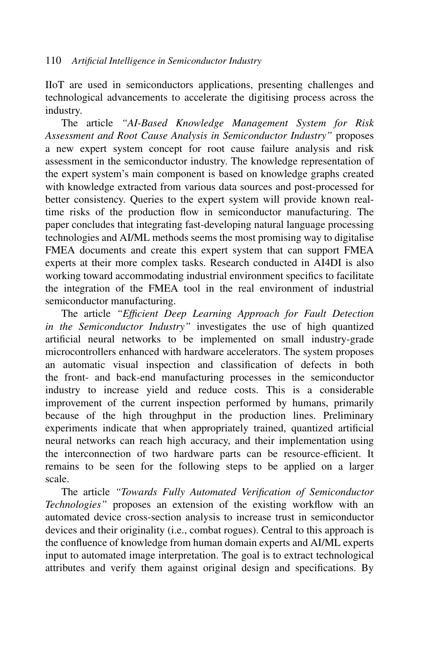IIoT are used in semiconductors applications, presenting challenges and technological advancements to accelerate the digitising process across the industry.

The article *"AI-Based Knowledge Management System for Risk Assessment and Root Cause Analysis in Semiconductor Industry"* proposes a new expert system concept for root cause failure analysis and risk assessment in the semiconductor industry. The knowledge representation of the expert system's main component is based on knowledge graphs created with knowledge extracted from various data sources and post-processed for better consistency. Queries to the expert system will provide known realtime risks of the production flow in semiconductor manufacturing. The paper concludes that integrating fast-developing natural language processing technologies and AI/ML methods seems the most promising way to digitalise FMEA documents and create this expert system that can support FMEA experts at their more complex tasks. Research conducted in AI4DI is also working toward accommodating industrial environment specifics to facilitate the integration of the FMEA tool in the real environment of industrial semiconductor manufacturing.

The article *"Efficient Deep Learning Approach for Fault Detection in the Semiconductor Industry"* investigates the use of high quantized artificial neural networks to be implemented on small industry-grade microcontrollers enhanced with hardware accelerators. The system proposes an automatic visual inspection and classification of defects in both the front- and back-end manufacturing processes in the semiconductor industry to increase yield and reduce costs. This is a considerable improvement of the current inspection performed by humans, primarily because of the high throughput in the production lines. Preliminary experiments indicate that when appropriately trained, quantized artificial neural networks can reach high accuracy, and their implementation using the interconnection of two hardware parts can be resource-efficient. It remains to be seen for the following steps to be applied on a larger scale.

The article *"Towards Fully Automated Verification of Semiconductor Technologies"* proposes an extension of the existing workflow with an automated device cross-section analysis to increase trust in semiconductor devices and their originality (i.e., combat rogues). Central to this approach is the confluence of knowledge from human domain experts and AI/ML experts input to automated image interpretation. The goal is to extract technological attributes and verify them against original design and specifications. By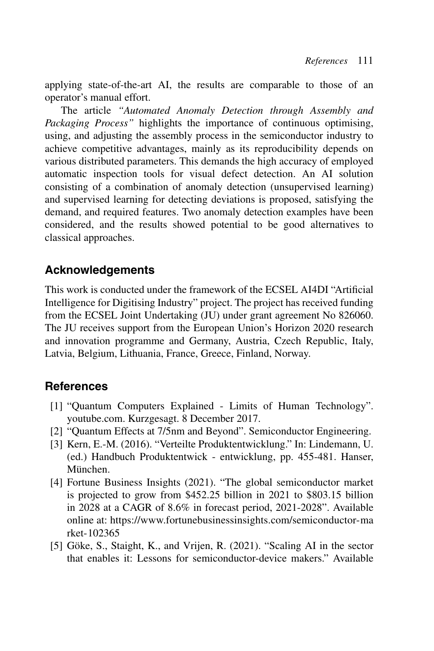applying state-of-the-art AI, the results are comparable to those of an operator's manual effort.

The article *"Automated Anomaly Detection through Assembly and Packaging Process"* highlights the importance of continuous optimising, using, and adjusting the assembly process in the semiconductor industry to achieve competitive advantages, mainly as its reproducibility depends on various distributed parameters. This demands the high accuracy of employed automatic inspection tools for visual defect detection. An AI solution consisting of a combination of anomaly detection (unsupervised learning) and supervised learning for detecting deviations is proposed, satisfying the demand, and required features. Two anomaly detection examples have been considered, and the results showed potential to be good alternatives to classical approaches.

## **Acknowledgements**

This work is conducted under the framework of the ECSEL AI4DI "Artificial Intelligence for Digitising Industry" project. The project has received funding from the ECSEL Joint Undertaking (JU) under grant agreement No 826060. The JU receives support from the European Union's Horizon 2020 research and innovation programme and Germany, Austria, Czech Republic, Italy, Latvia, Belgium, Lithuania, France, Greece, Finland, Norway.

# **References**

- [1] "Quantum Computers Explained Limits of Human Technology". youtube.com. Kurzgesagt. 8 December 2017.
- [2] "Quantum Effects at 7/5nm and Beyond". Semiconductor Engineering.
- [3] Kern, E.-M. (2016). "Verteilte Produktentwicklung." In: Lindemann, U. (ed.) Handbuch Produktentwick - entwicklung, pp. 455-481. Hanser, München.
- [4] Fortune Business Insights (2021). "The global semiconductor market is projected to grow from \$452.25 billion in 2021 to \$803.15 billion in 2028 at a CAGR of 8.6% in forecast period, 2021-2028". Available online at: [https://www.fortunebusinessinsights.com/semiconductor-ma](https://www.fortunebusinessinsights.com/semiconductor-market-102365) [rket-102365](https://www.fortunebusinessinsights.com/semiconductor-market-102365)
- [5] Göke, S., Staight, K., and Vrijen, R. (2021). "Scaling AI in the sector that enables it: Lessons for semiconductor-device makers." Available